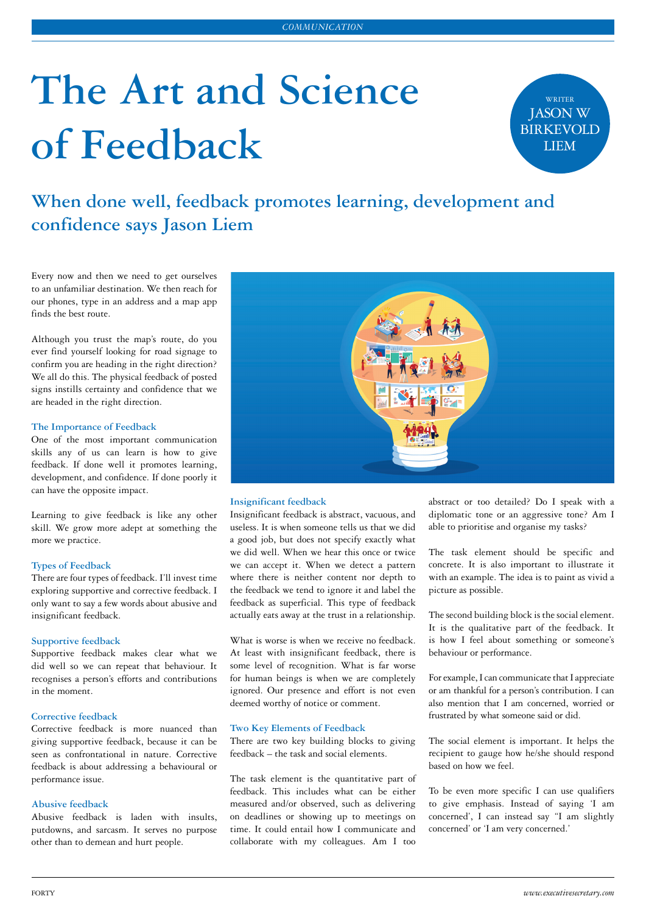# **The Art and Science of Feedback**

WRITER JASON W BIRKEVOLD LIEM

**When done well, feedback promotes learning, development and confidence says Jason Liem**

Every now and then we need to get ourselves to an unfamiliar destination. We then reach for our phones, type in an address and a map app finds the best route.

Although you trust the map's route, do you ever find yourself looking for road signage to confirm you are heading in the right direction? We all do this. The physical feedback of posted signs instills certainty and confidence that we are headed in the right direction.

# **The Importance of Feedback**

One of the most important communication skills any of us can learn is how to give feedback. If done well it promotes learning, development, and confidence. If done poorly it can have the opposite impact.

Learning to give feedback is like any other skill. We grow more adept at something the more we practice.

#### **Types of Feedback**

There are four types of feedback. I'll invest time exploring supportive and corrective feedback. I only want to say a few words about abusive and insignificant feedback.

#### **Supportive feedback**

Supportive feedback makes clear what we did well so we can repeat that behaviour. It recognises a person's efforts and contributions in the moment.

#### **Corrective feedback**

Corrective feedback is more nuanced than giving supportive feedback, because it can be seen as confrontational in nature. Corrective feedback is about addressing a behavioural or performance issue.

# **Abusive feedback**

Abusive feedback is laden with insults, putdowns, and sarcasm. It serves no purpose other than to demean and hurt people.



#### **Insignificant feedback**

Insignificant feedback is abstract, vacuous, and useless. It is when someone tells us that we did a good job, but does not specify exactly what we did well. When we hear this once or twice we can accept it. When we detect a pattern where there is neither content nor depth to the feedback we tend to ignore it and label the feedback as superficial. This type of feedback actually eats away at the trust in a relationship.

What is worse is when we receive no feedback. At least with insignificant feedback, there is some level of recognition. What is far worse for human beings is when we are completely ignored. Our presence and effort is not even deemed worthy of notice or comment.

# **Two Key Elements of Feedback**

There are two key building blocks to giving feedback – the task and social elements.

The task element is the quantitative part of feedback. This includes what can be either measured and/or observed, such as delivering on deadlines or showing up to meetings on time. It could entail how I communicate and collaborate with my colleagues. Am I too abstract or too detailed? Do I speak with a diplomatic tone or an aggressive tone? Am I able to prioritise and organise my tasks?

The task element should be specific and concrete. It is also important to illustrate it with an example. The idea is to paint as vivid a picture as possible.

The second building block is the social element. It is the qualitative part of the feedback. It is how I feel about something or someone's behaviour or performance.

For example, I can communicate that I appreciate or am thankful for a person's contribution. I can also mention that I am concerned, worried or frustrated by what someone said or did.

The social element is important. It helps the recipient to gauge how he/she should respond based on how we feel.

To be even more specific I can use qualifiers to give emphasis. Instead of saying 'I am concerned', I can instead say "I am slightly concerned' or 'I am very concerned.'